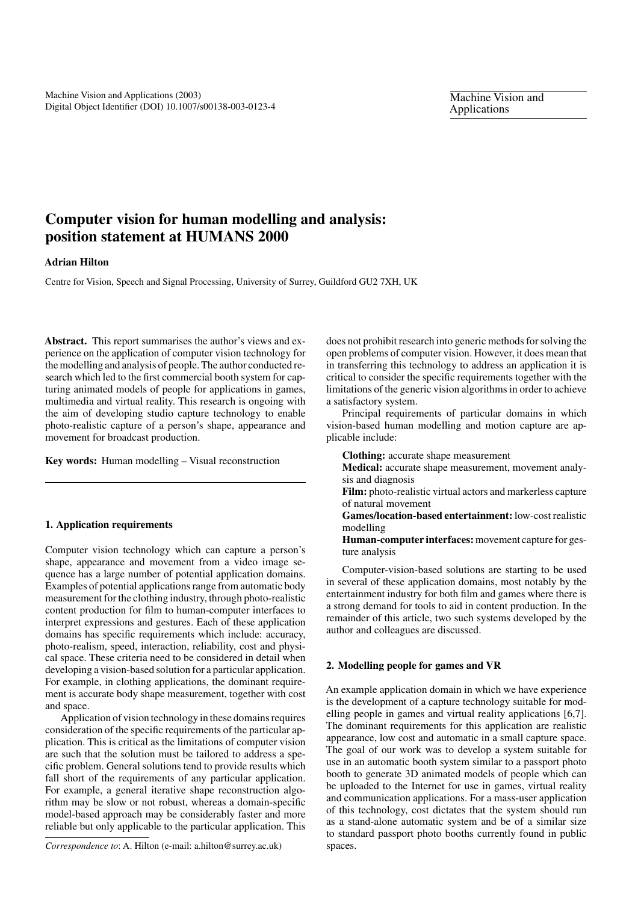# **Computer vision for human modelling and analysis: position statement at HUMANS 2000**

# **Adrian Hilton**

Centre for Vision, Speech and Signal Processing, University of Surrey, Guildford GU2 7XH, UK

**Abstract.** This report summarises the author's views and experience on the application of computer vision technology for the modelling and analysis of people. The author conducted research which led to the first commercial booth system for capturing animated models of people for applications in games, multimedia and virtual reality. This research is ongoing with the aim of developing studio capture technology to enable photo-realistic capture of a person's shape, appearance and movement for broadcast production.

**Key words:** Human modelling – Visual reconstruction

### **1. Application requirements**

Computer vision technology which can capture a person's shape, appearance and movement from a video image sequence has a large number of potential application domains. Examples of potential applications range from automatic body measurement for the clothing industry, through photo-realistic content production for film to human-computer interfaces to interpret expressions and gestures. Each of these application domains has specific requirements which include: accuracy, photo-realism, speed, interaction, reliability, cost and physical space. These criteria need to be considered in detail when developing a vision-based solution for a particular application. For example, in clothing applications, the dominant requirement is accurate body shape measurement, together with cost and space.

Application of vision technology in these domains requires consideration of the specific requirements of the particular application. This is critical as the limitations of computer vision are such that the solution must be tailored to address a specific problem. General solutions tend to provide results which fall short of the requirements of any particular application. For example, a general iterative shape reconstruction algorithm may be slow or not robust, whereas a domain-specific model-based approach may be considerably faster and more reliable but only applicable to the particular application. This

*Correspondence to*: A. Hilton (e-mail: a.hilton@surrey.ac.uk)

does not prohibit research into generic methods for solving the open problems of computer vision. However, it does mean that in transferring this technology to address an application it is critical to consider the specific requirements together with the limitations of the generic vision algorithms in order to achieve a satisfactory system.

Principal requirements of particular domains in which vision-based human modelling and motion capture are applicable include:

**Clothing:** accurate shape measurement

- **Medical:** accurate shape measurement, movement analysis and diagnosis
- **Film:** photo-realistic virtual actors and markerless capture of natural movement
- **Games/location-based entertainment:** low-cost realistic modelling
- **Human-computer interfaces:**movement capture for gesture analysis

Computer-vision-based solutions are starting to be used in several of these application domains, most notably by the entertainment industry for both film and games where there is a strong demand for tools to aid in content production. In the remainder of this article, two such systems developed by the author and colleagues are discussed.

# **2. Modelling people for games and VR**

An example application domain in which we have experience is the development of a capture technology suitable for modelling people in games and virtual reality applications [6,7]. The dominant requirements for this application are realistic appearance, low cost and automatic in a small capture space. The goal of our work was to develop a system suitable for use in an automatic booth system similar to a passport photo booth to generate 3D animated models of people which can be uploaded to the Internet for use in games, virtual reality and communication applications. For a mass-user application of this technology, cost dictates that the system should run as a stand-alone automatic system and be of a similar size to standard passport photo booths currently found in public spaces.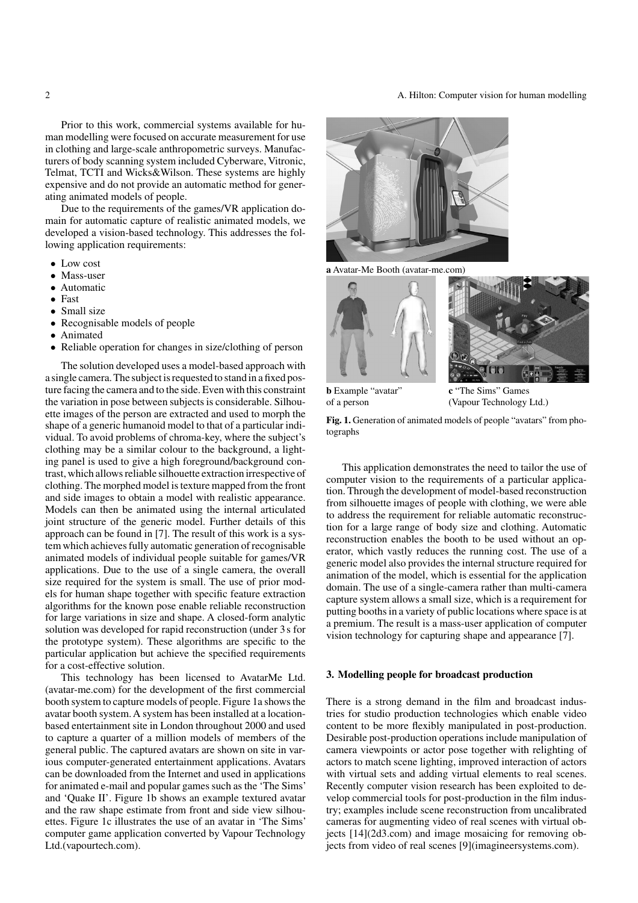Prior to this work, commercial systems available for human modelling were focused on accurate measurement for use in clothing and large-scale anthropometric surveys. Manufacturers of body scanning system included Cyberware, Vitronic, Telmat, TCTI and Wicks&Wilson. These systems are highly expensive and do not provide an automatic method for generating animated models of people.

Due to the requirements of the games/VR application domain for automatic capture of realistic animated models, we developed a vision-based technology. This addresses the following application requirements:

- Low cost<br>• Mass-use
- Mass-user<br>• Automatic
- Automatic<br>• Fast
- Fast<br>• Sma
- Small size
- Recognisable models of people<br>• Animated
- Animated
- Reliable operation for changes in size/clothing of person

The solution developed uses a model-based approach with a single camera. The subject is requested to stand in a fixed posture facing the camera and to the side. Even with this constraint the variation in pose between subjects is considerable. Silhouette images of the person are extracted and used to morph the shape of a generic humanoid model to that of a particular individual. To avoid problems of chroma-key, where the subject's clothing may be a similar colour to the background, a lighting panel is used to give a high foreground/background contrast, which allows reliable silhouette extraction irrespective of clothing. The morphed model is texture mapped from the front and side images to obtain a model with realistic appearance. Models can then be animated using the internal articulated joint structure of the generic model. Further details of this approach can be found in [7]. The result of this work is a system which achieves fully automatic generation of recognisable animated models of individual people suitable for games/VR applications. Due to the use of a single camera, the overall size required for the system is small. The use of prior models for human shape together with specific feature extraction algorithms for the known pose enable reliable reconstruction for large variations in size and shape. A closed-form analytic solution was developed for rapid reconstruction (under 3 s for the prototype system). These algorithms are specific to the particular application but achieve the specified requirements for a cost-effective solution.

This technology has been licensed to AvatarMe Ltd. (avatar-me.com) for the development of the first commercial booth system to capture models of people. Figure 1a shows the avatar booth system. A system has been installed at a locationbased entertainment site in London throughout 2000 and used to capture a quarter of a million models of members of the general public. The captured avatars are shown on site in various computer-generated entertainment applications. Avatars can be downloaded from the Internet and used in applications for animated e-mail and popular games such as the 'The Sims' and 'Quake II'. Figure 1b shows an example textured avatar and the raw shape estimate from front and side view silhouettes. Figure 1c illustrates the use of an avatar in 'The Sims' computer game application converted by Vapour Technology Ltd.(vapourtech.com).



**a** Avatar-Me Booth (avatar-me.com)





**b** Example "avatar" **c** "The Sims" Games

of a person (Vapour Technology Ltd.)

Fig. 1. Generation of animated models of people "avatars" from photographs

This application demonstrates the need to tailor the use of computer vision to the requirements of a particular application. Through the development of model-based reconstruction from silhouette images of people with clothing, we were able to address the requirement for reliable automatic reconstruction for a large range of body size and clothing. Automatic reconstruction enables the booth to be used without an operator, which vastly reduces the running cost. The use of a generic model also provides the internal structure required for animation of the model, which is essential for the application domain. The use of a single-camera rather than multi-camera capture system allows a small size, which is a requirement for putting booths in a variety of public locations where space is at a premium. The result is a mass-user application of computer vision technology for capturing shape and appearance [7].

#### **3. Modelling people for broadcast production**

There is a strong demand in the film and broadcast industries for studio production technologies which enable video content to be more flexibly manipulated in post-production. Desirable post-production operations include manipulation of camera viewpoints or actor pose together with relighting of actors to match scene lighting, improved interaction of actors with virtual sets and adding virtual elements to real scenes. Recently computer vision research has been exploited to develop commercial tools for post-production in the film industry; examples include scene reconstruction from uncalibrated cameras for augmenting video of real scenes with virtual objects [14](2d3.com) and image mosaicing for removing objects from video of real scenes [9](imagineersystems.com).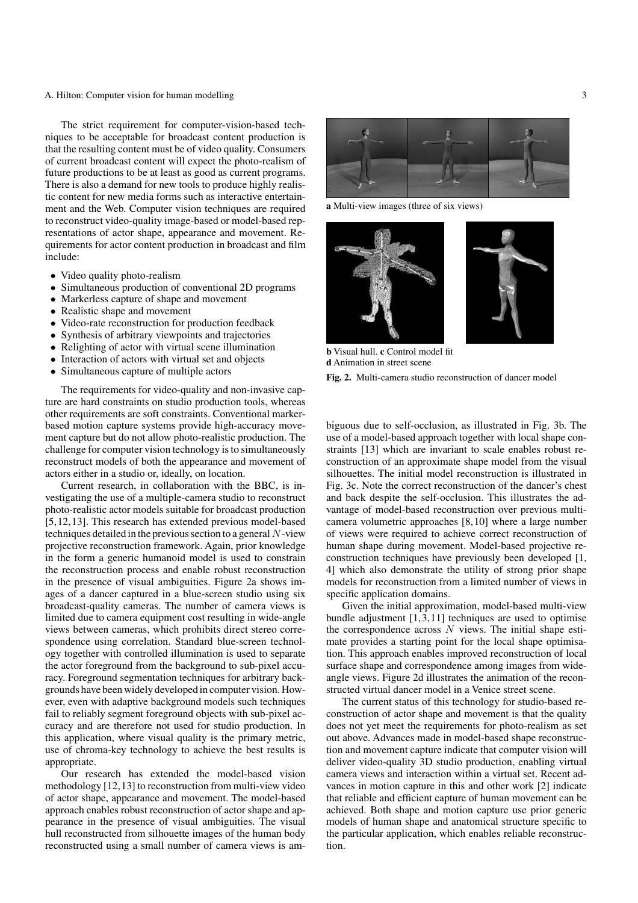The strict requirement for computer-vision-based techniques to be acceptable for broadcast content production is that the resulting content must be of video quality. Consumers of current broadcast content will expect the photo-realism of future productions to be at least as good as current programs. There is also a demand for new tools to produce highly realistic content for new media forms such as interactive entertainment and the Web. Computer vision techniques are required to reconstruct video-quality image-based or model-based representations of actor shape, appearance and movement. Requirements for actor content production in broadcast and film include:

- Video quality photo-realism<br>• Simultaneous production of
- Simultaneous production of conventional 2D programs<br>• Markerless capture of shape and movement
- Markerless capture of shape and movement<br>• Realistic shape and movement
- Realistic shape and movement<br>• Video-rate reconstruction for n
- Video-rate reconstruction for production feedback<br>• Synthesis of arbitrary viewpoints and trajectories
- Synthesis of arbitrary viewpoints and trajectories
- Relighting of actor with virtual scene illumination
- Interaction of actors with virtual set and objects<br>• Simultaneous capture of multiple actors
- Simultaneous capture of multiple actors

The requirements for video-quality and non-invasive capture are hard constraints on studio production tools, whereas other requirements are soft constraints. Conventional markerbased motion capture systems provide high-accuracy movement capture but do not allow photo-realistic production. The challenge for computer vision technology is to simultaneously reconstruct models of both the appearance and movement of actors either in a studio or, ideally, on location.

Current research, in collaboration with the BBC, is investigating the use of a multiple-camera studio to reconstruct photo-realistic actor models suitable for broadcast production [5,12,13]. This research has extended previous model-based techniques detailed in the previous section to a general  $N$ -view projective reconstruction framework. Again, prior knowledge in the form a generic humanoid model is used to constrain the reconstruction process and enable robust reconstruction in the presence of visual ambiguities. Figure 2a shows images of a dancer captured in a blue-screen studio using six broadcast-quality cameras. The number of camera views is limited due to camera equipment cost resulting in wide-angle views between cameras, which prohibits direct stereo correspondence using correlation. Standard blue-screen technology together with controlled illumination is used to separate the actor foreground from the background to sub-pixel accuracy. Foreground segmentation techniques for arbitrary backgrounds have been widely developed in computer vision. However, even with adaptive background models such techniques fail to reliably segment foreground objects with sub-pixel accuracy and are therefore not used for studio production. In this application, where visual quality is the primary metric, use of chroma-key technology to achieve the best results is appropriate.

Our research has extended the model-based vision methodology [12,13] to reconstruction from multi-view video of actor shape, appearance and movement. The model-based approach enables robust reconstruction of actor shape and appearance in the presence of visual ambiguities. The visual hull reconstructed from silhouette images of the human body reconstructed using a small number of camera views is am-



**a** Multi-view images (three of six views)



**b** Visual hull. **c** Control model fit **d** Animation in street scene **Fig. 2.** Multi-camera studio reconstruction of dancer model

biguous due to self-occlusion, as illustrated in Fig. 3b. The use of a model-based approach together with local shape constraints [13] which are invariant to scale enables robust reconstruction of an approximate shape model from the visual silhouettes. The initial model reconstruction is illustrated in Fig. 3c. Note the correct reconstruction of the dancer's chest and back despite the self-occlusion. This illustrates the advantage of model-based reconstruction over previous multicamera volumetric approaches [8,10] where a large number of views were required to achieve correct reconstruction of human shape during movement. Model-based projective reconstruction techniques have previously been developed [1, 4] which also demonstrate the utility of strong prior shape models for reconstruction from a limited number of views in specific application domains.

Given the initial approximation, model-based multi-view bundle adjustment [1,3,11] techniques are used to optimise the correspondence across  $N$  views. The initial shape estimate provides a starting point for the local shape optimisation. This approach enables improved reconstruction of local surface shape and correspondence among images from wideangle views. Figure 2d illustrates the animation of the reconstructed virtual dancer model in a Venice street scene.

The current status of this technology for studio-based reconstruction of actor shape and movement is that the quality does not yet meet the requirements for photo-realism as set out above. Advances made in model-based shape reconstruction and movement capture indicate that computer vision will deliver video-quality 3D studio production, enabling virtual camera views and interaction within a virtual set. Recent advances in motion capture in this and other work [2] indicate that reliable and efficient capture of human movement can be achieved. Both shape and motion capture use prior generic models of human shape and anatomical structure specific to the particular application, which enables reliable reconstruction.